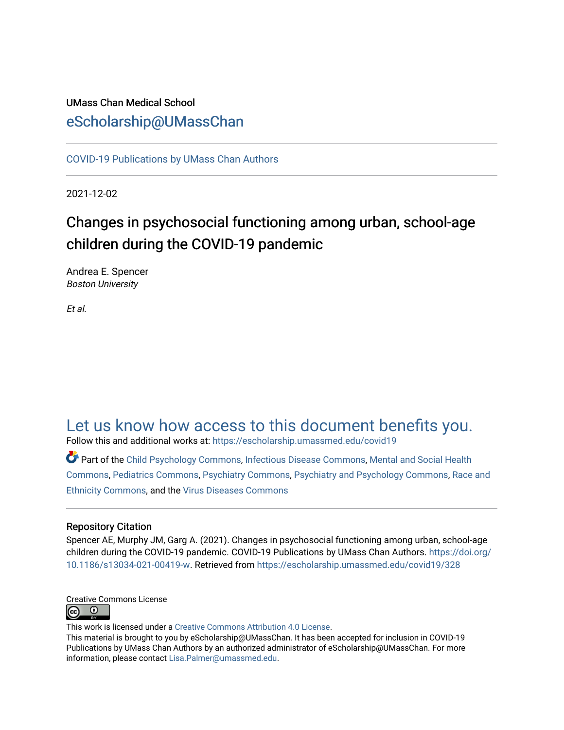# UMass Chan Medical School [eScholarship@UMassChan](https://escholarship.umassmed.edu/)

[COVID-19 Publications by UMass Chan Authors](https://escholarship.umassmed.edu/covid19)

2021-12-02

# Changes in psychosocial functioning among urban, school-age children during the COVID-19 pandemic

Andrea E. Spencer Boston University

Et al.

# [Let us know how access to this document benefits you.](https://arcsapps.umassmed.edu/redcap/surveys/?s=XWRHNF9EJE)

Follow this and additional works at: [https://escholarship.umassmed.edu/covid19](https://escholarship.umassmed.edu/covid19?utm_source=escholarship.umassmed.edu%2Fcovid19%2F328&utm_medium=PDF&utm_campaign=PDFCoverPages) 

Part of the [Child Psychology Commons,](http://network.bepress.com/hgg/discipline/1023?utm_source=escholarship.umassmed.edu%2Fcovid19%2F328&utm_medium=PDF&utm_campaign=PDFCoverPages) [Infectious Disease Commons,](http://network.bepress.com/hgg/discipline/689?utm_source=escholarship.umassmed.edu%2Fcovid19%2F328&utm_medium=PDF&utm_campaign=PDFCoverPages) [Mental and Social Health](http://network.bepress.com/hgg/discipline/709?utm_source=escholarship.umassmed.edu%2Fcovid19%2F328&utm_medium=PDF&utm_campaign=PDFCoverPages) [Commons](http://network.bepress.com/hgg/discipline/709?utm_source=escholarship.umassmed.edu%2Fcovid19%2F328&utm_medium=PDF&utm_campaign=PDFCoverPages), [Pediatrics Commons,](http://network.bepress.com/hgg/discipline/700?utm_source=escholarship.umassmed.edu%2Fcovid19%2F328&utm_medium=PDF&utm_campaign=PDFCoverPages) [Psychiatry Commons,](http://network.bepress.com/hgg/discipline/704?utm_source=escholarship.umassmed.edu%2Fcovid19%2F328&utm_medium=PDF&utm_campaign=PDFCoverPages) [Psychiatry and Psychology Commons,](http://network.bepress.com/hgg/discipline/908?utm_source=escholarship.umassmed.edu%2Fcovid19%2F328&utm_medium=PDF&utm_campaign=PDFCoverPages) [Race and](http://network.bepress.com/hgg/discipline/426?utm_source=escholarship.umassmed.edu%2Fcovid19%2F328&utm_medium=PDF&utm_campaign=PDFCoverPages) [Ethnicity Commons,](http://network.bepress.com/hgg/discipline/426?utm_source=escholarship.umassmed.edu%2Fcovid19%2F328&utm_medium=PDF&utm_campaign=PDFCoverPages) and the [Virus Diseases Commons](http://network.bepress.com/hgg/discipline/998?utm_source=escholarship.umassmed.edu%2Fcovid19%2F328&utm_medium=PDF&utm_campaign=PDFCoverPages) 

### Repository Citation

Spencer AE, Murphy JM, Garg A. (2021). Changes in psychosocial functioning among urban, school-age children during the COVID-19 pandemic. COVID-19 Publications by UMass Chan Authors. [https://doi.org/](https://doi.org/10.1186/s13034-021-00419-w) [10.1186/s13034-021-00419-w](https://doi.org/10.1186/s13034-021-00419-w). Retrieved from [https://escholarship.umassmed.edu/covid19/328](https://escholarship.umassmed.edu/covid19/328?utm_source=escholarship.umassmed.edu%2Fcovid19%2F328&utm_medium=PDF&utm_campaign=PDFCoverPages) 



This work is licensed under a [Creative Commons Attribution 4.0 License](http://creativecommons.org/licenses/by/4.0/).

This material is brought to you by eScholarship@UMassChan. It has been accepted for inclusion in COVID-19 Publications by UMass Chan Authors by an authorized administrator of eScholarship@UMassChan. For more information, please contact [Lisa.Palmer@umassmed.edu.](mailto:Lisa.Palmer@umassmed.edu)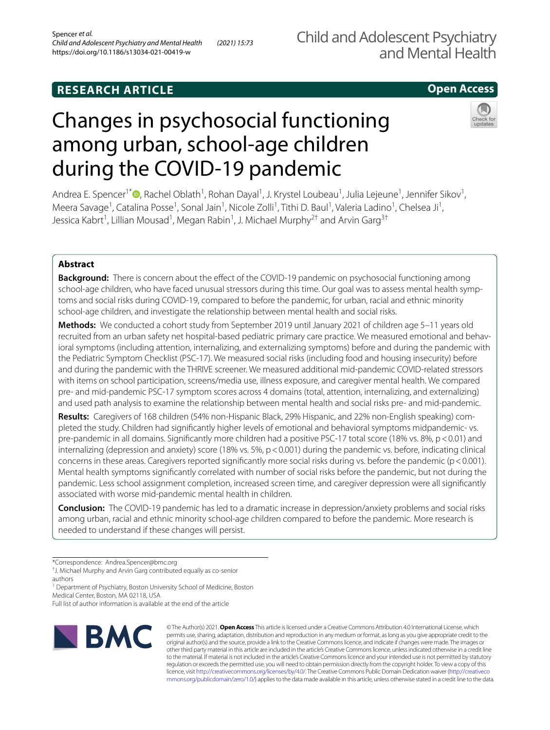## **RESEARCH ARTICLE**

## **Open Access**

# Changes in psychosocial functioning among urban, school-age children during the COVID-19 pandemic

Andrea E. Spencer<sup>1\*</sup><sup>®</sup>[,](http://orcid.org/0000-0003-1984-5380) Rachel Oblath<sup>1</sup>, Rohan Dayal<sup>1</sup>, J. Krystel Loubeau<sup>1</sup>, Julia Lejeune<sup>1</sup>, Jennifer Sikov<sup>1</sup>, Meera Savage<sup>1</sup>, Catalina Posse<sup>1</sup>, Sonal Jain<sup>1</sup>, Nicole Zolli<sup>1</sup>, Tithi D. Baul<sup>1</sup>, Valeria Ladino<sup>1</sup>, Chelsea Ji<sup>1</sup>, Jessica Kabrt<sup>1</sup>, Lillian Mousad<sup>1</sup>, Megan Rabin<sup>1</sup>, J. Michael Murphy<sup>2†</sup> and Arvin Garg<sup>3†</sup>

#### **Abstract**

**Background:** There is concern about the effect of the COVID-19 pandemic on psychosocial functioning among school-age children, who have faced unusual stressors during this time. Our goal was to assess mental health symptoms and social risks during COVID-19, compared to before the pandemic, for urban, racial and ethnic minority school-age children, and investigate the relationship between mental health and social risks.

**Methods:** We conducted a cohort study from September 2019 until January 2021 of children age 5–11 years old recruited from an urban safety net hospital-based pediatric primary care practice. We measured emotional and behavioral symptoms (including attention, internalizing, and externalizing symptoms) before and during the pandemic with the Pediatric Symptom Checklist (PSC-17). We measured social risks (including food and housing insecurity) before and during the pandemic with the THRIVE screener. We measured additional mid-pandemic COVID-related stressors with items on school participation, screens/media use, illness exposure, and caregiver mental health. We compared pre- and mid-pandemic PSC-17 symptom scores across 4 domains (total, attention, internalizing, and externalizing) and used path analysis to examine the relationship between mental health and social risks pre- and mid-pandemic.

**Results:** Caregivers of 168 children (54% non-Hispanic Black, 29% Hispanic, and 22% non-English speaking) completed the study. Children had signifcantly higher levels of emotional and behavioral symptoms midpandemic- vs. pre-pandemic in all domains. Significantly more children had a positive PSC-17 total score (18% vs. 8%, p < 0.01) and internalizing (depression and anxiety) score (18% vs. 5%,  $p < 0.001$ ) during the pandemic vs. before, indicating clinical concerns in these areas. Caregivers reported signifcantly more social risks during vs. before the pandemic (p<0.001). Mental health symptoms signifcantly correlated with number of social risks before the pandemic, but not during the pandemic. Less school assignment completion, increased screen time, and caregiver depression were all signifcantly associated with worse mid-pandemic mental health in children.

**Conclusion:** The COVID-19 pandemic has led to a dramatic increase in depression/anxiety problems and social risks among urban, racial and ethnic minority school-age children compared to before the pandemic. More research is needed to understand if these changes will persist.

<sup>1</sup> Department of Psychiatry, Boston University School of Medicine, Boston Medical Center, Boston, MA 02118, USA

Full list of author information is available at the end of the article



© The Author(s) 2021. **Open Access** This article is licensed under a Creative Commons Attribution 4.0 International License, which permits use, sharing, adaptation, distribution and reproduction in any medium or format, as long as you give appropriate credit to the original author(s) and the source, provide a link to the Creative Commons licence, and indicate if changes were made. The images or other third party material in this article are included in the article's Creative Commons licence, unless indicated otherwise in a credit line to the material. If material is not included in the article's Creative Commons licence and your intended use is not permitted by statutory regulation or exceeds the permitted use, you will need to obtain permission directly from the copyright holder. To view a copy of this licence, visit [http://creativecommons.org/licenses/by/4.0/.](http://creativecommons.org/licenses/by/4.0/) The Creative Commons Public Domain Dedication waiver ([http://creativeco](http://creativecommons.org/publicdomain/zero/1.0/) [mmons.org/publicdomain/zero/1.0/](http://creativecommons.org/publicdomain/zero/1.0/)) applies to the data made available in this article, unless otherwise stated in a credit line to the data.

<sup>\*</sup>Correspondence: Andrea.Spencer@bmc.org

<sup>†</sup> J. Michael Murphy and Arvin Garg contributed equally as co-senior authors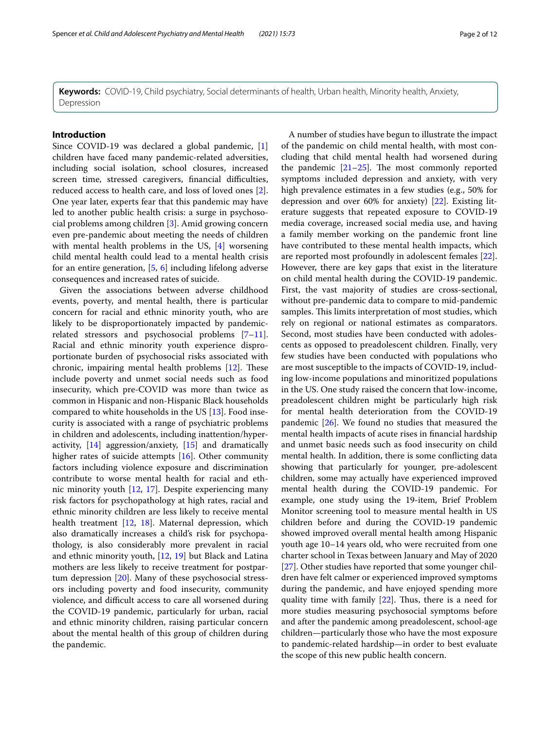**Keywords:** COVID-19, Child psychiatry, Social determinants of health, Urban health, Minority health, Anxiety, Depression

#### **Introduction**

Since COVID-19 was declared a global pandemic, [\[1](#page-10-0)] children have faced many pandemic-related adversities, including social isolation, school closures, increased screen time, stressed caregivers, financial difficulties, reduced access to health care, and loss of loved ones [\[2](#page-10-1)]. One year later, experts fear that this pandemic may have led to another public health crisis: a surge in psychosocial problems among children [[3](#page-11-0)]. Amid growing concern even pre-pandemic about meeting the needs of children with mental health problems in the US, [[4\]](#page-11-1) worsening child mental health could lead to a mental health crisis for an entire generation, [[5](#page-11-2), [6\]](#page-11-3) including lifelong adverse consequences and increased rates of suicide.

Given the associations between adverse childhood events, poverty, and mental health, there is particular concern for racial and ethnic minority youth, who are likely to be disproportionately impacted by pandemicrelated stressors and psychosocial problems [\[7](#page-11-4)[–11](#page-11-5)]. Racial and ethnic minority youth experience disproportionate burden of psychosocial risks associated with chronic, impairing mental health problems  $[12]$  $[12]$ . These include poverty and unmet social needs such as food insecurity, which pre-COVID was more than twice as common in Hispanic and non-Hispanic Black households compared to white households in the US [\[13](#page-11-7)]. Food insecurity is associated with a range of psychiatric problems in children and adolescents, including inattention/hyperactivity, [[14\]](#page-11-8) aggression/anxiety, [\[15](#page-11-9)] and dramatically higher rates of suicide attempts [\[16](#page-11-10)]. Other community factors including violence exposure and discrimination contribute to worse mental health for racial and ethnic minority youth [\[12](#page-11-6), [17](#page-11-11)]. Despite experiencing many risk factors for psychopathology at high rates, racial and ethnic minority children are less likely to receive mental health treatment [\[12](#page-11-6), [18](#page-11-12)]. Maternal depression, which also dramatically increases a child's risk for psychopathology, is also considerably more prevalent in racial and ethnic minority youth, [[12,](#page-11-6) [19\]](#page-11-13) but Black and Latina mothers are less likely to receive treatment for postpartum depression [\[20](#page-11-14)]. Many of these psychosocial stressors including poverty and food insecurity, community violence, and difficult access to care all worsened during the COVID-19 pandemic, particularly for urban, racial and ethnic minority children, raising particular concern about the mental health of this group of children during the pandemic.

A number of studies have begun to illustrate the impact of the pandemic on child mental health, with most concluding that child mental health had worsened during the pandemic  $[21-25]$  $[21-25]$  $[21-25]$ . The most commonly reported symptoms included depression and anxiety, with very high prevalence estimates in a few studies (e.g., 50% for depression and over 60% for anxiety) [[22](#page-11-17)]. Existing literature suggests that repeated exposure to COVID-19 media coverage, increased social media use, and having a family member working on the pandemic front line have contributed to these mental health impacts, which are reported most profoundly in adolescent females [\[22](#page-11-17)]. However, there are key gaps that exist in the literature on child mental health during the COVID-19 pandemic. First, the vast majority of studies are cross-sectional, without pre-pandemic data to compare to mid-pandemic samples. This limits interpretation of most studies, which rely on regional or national estimates as comparators. Second, most studies have been conducted with adolescents as opposed to preadolescent children. Finally, very few studies have been conducted with populations who are most susceptible to the impacts of COVID-19, including low-income populations and minoritized populations in the US. One study raised the concern that low-income, preadolescent children might be particularly high risk for mental health deterioration from the COVID-19 pandemic [[26\]](#page-11-18). We found no studies that measured the mental health impacts of acute rises in fnancial hardship and unmet basic needs such as food insecurity on child mental health. In addition, there is some conficting data showing that particularly for younger, pre-adolescent children, some may actually have experienced improved mental health during the COVID-19 pandemic. For example, one study using the 19-item, Brief Problem Monitor screening tool to measure mental health in US children before and during the COVID-19 pandemic showed improved overall mental health among Hispanic youth age 10–14 years old, who were recruited from one charter school in Texas between January and May of 2020 [[27\]](#page-11-19). Other studies have reported that some younger children have felt calmer or experienced improved symptoms during the pandemic, and have enjoyed spending more quality time with family  $[22]$  $[22]$  $[22]$ . Thus, there is a need for more studies measuring psychosocial symptoms before and after the pandemic among preadolescent, school-age children—particularly those who have the most exposure to pandemic-related hardship—in order to best evaluate the scope of this new public health concern.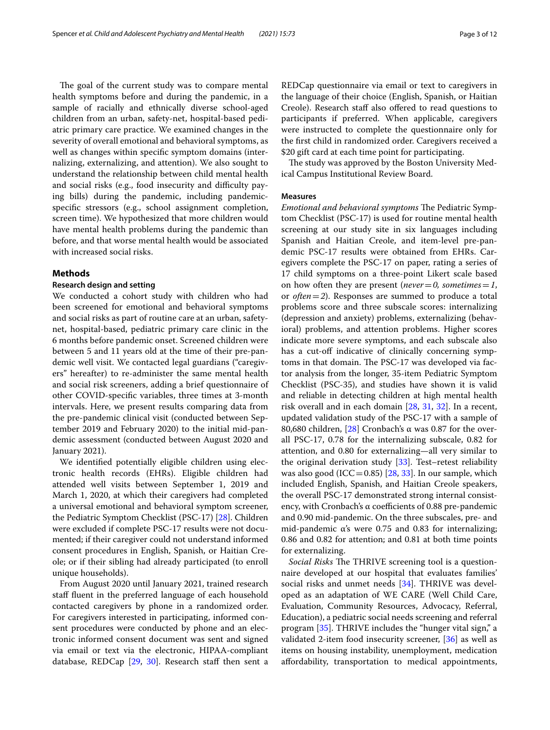The goal of the current study was to compare mental health symptoms before and during the pandemic, in a sample of racially and ethnically diverse school-aged children from an urban, safety-net, hospital-based pediatric primary care practice. We examined changes in the severity of overall emotional and behavioral symptoms, as well as changes within specifc symptom domains (internalizing, externalizing, and attention). We also sought to understand the relationship between child mental health and social risks (e.g., food insecurity and difficulty paying bills) during the pandemic, including pandemicspecifc stressors (e.g., school assignment completion, screen time). We hypothesized that more children would have mental health problems during the pandemic than before, and that worse mental health would be associated with increased social risks.

#### **Methods**

#### **Research design and setting**

We conducted a cohort study with children who had been screened for emotional and behavioral symptoms and social risks as part of routine care at an urban, safetynet, hospital-based, pediatric primary care clinic in the 6 months before pandemic onset. Screened children were between 5 and 11 years old at the time of their pre-pandemic well visit. We contacted legal guardians ("caregivers" hereafter) to re-administer the same mental health and social risk screeners, adding a brief questionnaire of other COVID-specifc variables, three times at 3-month intervals. Here, we present results comparing data from the pre-pandemic clinical visit (conducted between September 2019 and February 2020) to the initial mid-pandemic assessment (conducted between August 2020 and January 2021).

We identifed potentially eligible children using electronic health records (EHRs). Eligible children had attended well visits between September 1, 2019 and March 1, 2020, at which their caregivers had completed a universal emotional and behavioral symptom screener, the Pediatric Symptom Checklist (PSC-17) [[28](#page-11-20)]. Children were excluded if complete PSC-17 results were not documented; if their caregiver could not understand informed consent procedures in English, Spanish, or Haitian Creole; or if their sibling had already participated (to enroll unique households).

From August 2020 until January 2021, trained research staf fuent in the preferred language of each household contacted caregivers by phone in a randomized order. For caregivers interested in participating, informed consent procedures were conducted by phone and an electronic informed consent document was sent and signed via email or text via the electronic, HIPAA-compliant database, REDCap  $[29, 30]$  $[29, 30]$  $[29, 30]$ . Research staff then sent a REDCap questionnaire via email or text to caregivers in the language of their choice (English, Spanish, or Haitian Creole). Research staff also offered to read questions to participants if preferred. When applicable, caregivers were instructed to complete the questionnaire only for the frst child in randomized order. Caregivers received a \$20 gift card at each time point for participating.

The study was approved by the Boston University Medical Campus Institutional Review Board.

#### **Measures**

*Emotional and behavioral symptoms* The Pediatric Symptom Checklist (PSC-17) is used for routine mental health screening at our study site in six languages including Spanish and Haitian Creole, and item-level pre-pandemic PSC-17 results were obtained from EHRs. Caregivers complete the PSC-17 on paper, rating a series of 17 child symptoms on a three-point Likert scale based on how often they are present (*never* = 0, *sometimes* = 1, or *often*=*2*). Responses are summed to produce a total problems score and three subscale scores: internalizing (depression and anxiety) problems, externalizing (behavioral) problems, and attention problems. Higher scores indicate more severe symptoms, and each subscale also has a cut-off indicative of clinically concerning symptoms in that domain. The PSC-17 was developed via factor analysis from the longer, 35-item Pediatric Symptom Checklist (PSC-35), and studies have shown it is valid and reliable in detecting children at high mental health risk overall and in each domain [\[28](#page-11-20), [31](#page-11-23), [32\]](#page-11-24). In a recent, updated validation study of the PSC-17 with a sample of 80,680 children, [[28](#page-11-20)] Cronbach's α was 0.87 for the overall PSC-17, 0.78 for the internalizing subscale, 0.82 for attention, and 0.80 for externalizing—all very similar to the original derivation study [[33](#page-11-25)]. Test–retest reliability was also good (ICC=0.85) [ $28$ ,  $33$ ]. In our sample, which included English, Spanish, and Haitian Creole speakers, the overall PSC-17 demonstrated strong internal consistency, with Cronbach's  $\alpha$  coefficients of 0.88 pre-pandemic and 0.90 mid-pandemic. On the three subscales, pre- and mid-pandemic α's were 0.75 and 0.83 for internalizing; 0.86 and 0.82 for attention; and 0.81 at both time points for externalizing.

*Social Risks* The THRIVE screening tool is a questionnaire developed at our hospital that evaluates families' social risks and unmet needs [\[34](#page-11-26)]. THRIVE was developed as an adaptation of WE CARE (Well Child Care, Evaluation, Community Resources, Advocacy, Referral, Education), a pediatric social needs screening and referral program [[35\]](#page-11-27). THRIVE includes the "hunger vital sign," a validated 2-item food insecurity screener, [\[36\]](#page-11-28) as well as items on housing instability, unemployment, medication afordability, transportation to medical appointments,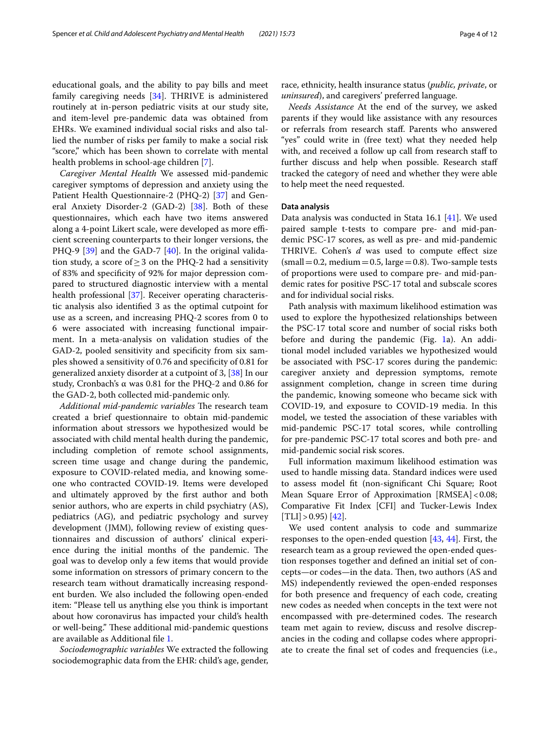educational goals, and the ability to pay bills and meet family caregiving needs [[34\]](#page-11-26). THRIVE is administered routinely at in-person pediatric visits at our study site, and item-level pre-pandemic data was obtained from EHRs. We examined individual social risks and also tallied the number of risks per family to make a social risk "score," which has been shown to correlate with mental health problems in school-age children [\[7\]](#page-11-4).

*Caregiver Mental Health* We assessed mid-pandemic caregiver symptoms of depression and anxiety using the Patient Health Questionnaire-2 (PHQ-2) [[37\]](#page-11-29) and General Anxiety Disorder-2 (GAD-2) [[38](#page-11-30)]. Both of these questionnaires, which each have two items answered along a 4-point Likert scale, were developed as more efficient screening counterparts to their longer versions, the PHQ-9 [[39\]](#page-11-31) and the GAD-7 [[40\]](#page-11-32). In the original validation study, a score of  $\geq$  3 on the PHQ-2 had a sensitivity of 83% and specifcity of 92% for major depression compared to structured diagnostic interview with a mental health professional [[37\]](#page-11-29). Receiver operating characteristic analysis also identifed 3 as the optimal cutpoint for use as a screen, and increasing PHQ-2 scores from 0 to 6 were associated with increasing functional impairment. In a meta-analysis on validation studies of the GAD-2, pooled sensitivity and specifcity from six samples showed a sensitivity of 0.76 and specifcity of 0.81 for generalized anxiety disorder at a cutpoint of 3, [\[38\]](#page-11-30) In our study, Cronbach's α was 0.81 for the PHQ-2 and 0.86 for the GAD-2, both collected mid-pandemic only.

*Additional mid-pandemic variables* The research team created a brief questionnaire to obtain mid-pandemic information about stressors we hypothesized would be associated with child mental health during the pandemic, including completion of remote school assignments, screen time usage and change during the pandemic, exposure to COVID-related media, and knowing someone who contracted COVID-19. Items were developed and ultimately approved by the frst author and both senior authors, who are experts in child psychiatry (AS), pediatrics (AG), and pediatric psychology and survey development (JMM), following review of existing questionnaires and discussion of authors' clinical experience during the initial months of the pandemic. The goal was to develop only a few items that would provide some information on stressors of primary concern to the research team without dramatically increasing respondent burden. We also included the following open-ended item: "Please tell us anything else you think is important about how coronavirus has impacted your child's health or well-being." These additional mid-pandemic questions are available as Additional fle [1](#page-10-2).

*Sociodemographic variables* We extracted the following sociodemographic data from the EHR: child's age, gender, race, ethnicity, health insurance status (*public, private*, or *uninsured*), and caregivers' preferred language.

*Needs Assistance* At the end of the survey, we asked parents if they would like assistance with any resources or referrals from research staf. Parents who answered "yes" could write in (free text) what they needed help with, and received a follow up call from research staff to further discuss and help when possible. Research staf tracked the category of need and whether they were able to help meet the need requested.

#### **Data analysis**

Data analysis was conducted in Stata 16.1 [\[41](#page-11-33)]. We used paired sample t-tests to compare pre- and mid-pandemic PSC-17 scores, as well as pre- and mid-pandemic THRIVE. Cohen's *d* was used to compute efect size  $(small = 0.2, medium = 0.5, large = 0.8)$ . Two-sample tests of proportions were used to compare pre- and mid-pandemic rates for positive PSC-17 total and subscale scores and for individual social risks.

Path analysis with maximum likelihood estimation was used to explore the hypothesized relationships between the PSC-17 total score and number of social risks both before and during the pandemic (Fig. [1a](#page-5-0)). An additional model included variables we hypothesized would be associated with PSC-17 scores during the pandemic: caregiver anxiety and depression symptoms, remote assignment completion, change in screen time during the pandemic, knowing someone who became sick with COVID-19, and exposure to COVID-19 media. In this model, we tested the association of these variables with mid-pandemic PSC-17 total scores, while controlling for pre-pandemic PSC-17 total scores and both pre- and mid-pandemic social risk scores.

Full information maximum likelihood estimation was used to handle missing data. Standard indices were used to assess model ft (non-signifcant Chi Square; Root Mean Square Error of Approximation [RMSEA]<0.08; Comparative Fit Index [CFI] and Tucker-Lewis Index  $[TLI] > 0.95$  [\[42](#page-11-34)].

We used content analysis to code and summarize responses to the open-ended question [[43](#page-11-35), [44](#page-11-36)]. First, the research team as a group reviewed the open-ended question responses together and defned an initial set of concepts—or codes—in the data. Then, two authors (AS and MS) independently reviewed the open-ended responses for both presence and frequency of each code, creating new codes as needed when concepts in the text were not encompassed with pre-determined codes. The research team met again to review, discuss and resolve discrepancies in the coding and collapse codes where appropriate to create the fnal set of codes and frequencies (i.e.,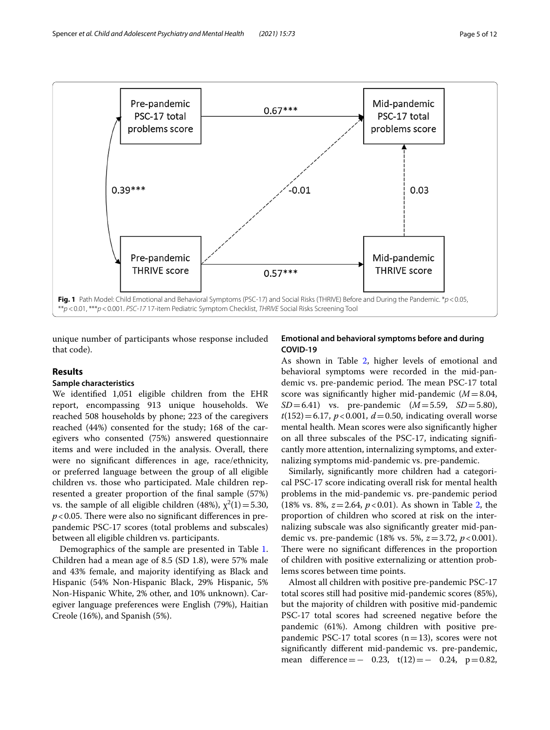

<span id="page-5-0"></span>unique number of participants whose response included that code).

#### **Results**

#### **Sample characteristics**

We identifed 1,051 eligible children from the EHR report, encompassing 913 unique households. We reached 508 households by phone; 223 of the caregivers reached (44%) consented for the study; 168 of the caregivers who consented (75%) answered questionnaire items and were included in the analysis. Overall, there were no signifcant diferences in age, race/ethnicity, or preferred language between the group of all eligible children vs. those who participated. Male children represented a greater proportion of the fnal sample (57%) vs. the sample of all eligible children (48%),  $\chi^2(1) = 5.30$ ,  $p$ <0.05. There were also no significant differences in prepandemic PSC-17 scores (total problems and subscales) between all eligible children vs. participants.

Demographics of the sample are presented in Table [1](#page-6-0). Children had a mean age of 8.5 (SD 1.8), were 57% male and 43% female, and majority identifying as Black and Hispanic (54% Non-Hispanic Black, 29% Hispanic, 5% Non-Hispanic White, 2% other, and 10% unknown). Caregiver language preferences were English (79%), Haitian Creole (16%), and Spanish (5%).

#### **Emotional and behavioral symptoms before and during COVID‑19**

As shown in Table [2,](#page-7-0) higher levels of emotional and behavioral symptoms were recorded in the mid-pandemic vs. pre-pandemic period. The mean PSC-17 total score was signifcantly higher mid-pandemic (*M*=8.04, *SD*=6.41) vs. pre-pandemic (*M*=5.59, *SD*=5.80),  $t(152)=6.17$ ,  $p < 0.001$ ,  $d = 0.50$ , indicating overall worse mental health. Mean scores were also signifcantly higher on all three subscales of the PSC-17, indicating signifcantly more attention, internalizing symptoms, and externalizing symptoms mid-pandemic vs. pre-pandemic.

Similarly, signifcantly more children had a categorical PSC-17 score indicating overall risk for mental health problems in the mid-pandemic vs. pre-pandemic period (18% vs. 8%, *z*=2.64, *p*<0.01). As shown in Table [2](#page-7-0), the proportion of children who scored at risk on the internalizing subscale was also signifcantly greater mid-pandemic vs. pre-pandemic (18% vs. 5%, *z*=3.72, *p*<0.001). There were no significant differences in the proportion of children with positive externalizing or attention problems scores between time points.

Almost all children with positive pre-pandemic PSC-17 total scores still had positive mid-pandemic scores (85%), but the majority of children with positive mid-pandemic PSC-17 total scores had screened negative before the pandemic (61%). Among children with positive prepandemic PSC-17 total scores ( $n=13$ ), scores were not signifcantly diferent mid-pandemic vs. pre-pandemic, mean difference =  $-$  0.23, t(12) =  $-$  0.24, p = 0.82,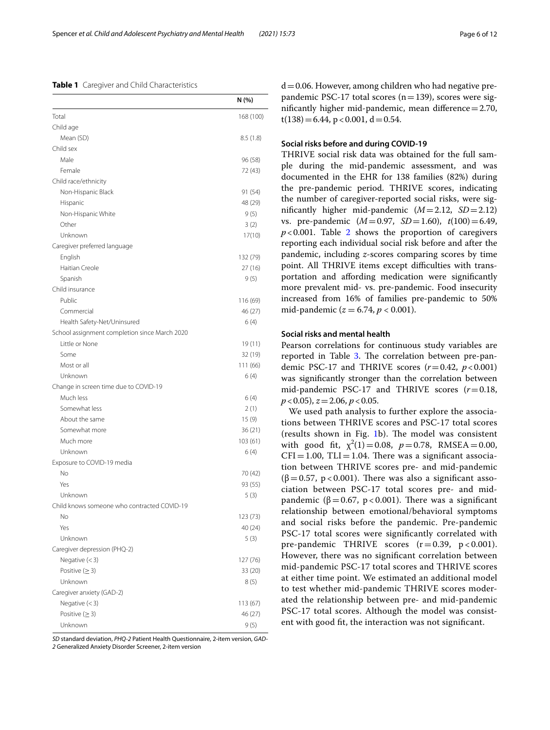#### <span id="page-6-0"></span>**Table 1** Caregiver and Child Characteristics

|                                               | N (%)     |
|-----------------------------------------------|-----------|
| Total                                         | 168 (100) |
| Child age                                     |           |
| Mean (SD)                                     | 8.5(1.8)  |
| Child sex                                     |           |
| Male                                          | 96 (58)   |
| Female                                        | 72 (43)   |
| Child race/ethnicity                          |           |
| Non-Hispanic Black                            | 91 (54)   |
| Hispanic                                      | 48 (29)   |
| Non-Hispanic White                            | 9(5)      |
| Other                                         | 3(2)      |
| Unknown                                       | 17(10)    |
| Caregiver preferred language                  |           |
| English                                       | 132 (79)  |
| Haitian Creole                                | 27 (16)   |
| Spanish                                       | 9(5)      |
| Child insurance                               |           |
| Public                                        | 116 (69)  |
| Commercial                                    | 46 (27)   |
| Health Safety-Net/Uninsured                   | 6(4)      |
| School assignment completion since March 2020 |           |
| Little or None                                | 19(11)    |
| Some                                          | 32 (19)   |
| Most or all                                   | 111 (66)  |
| Unknown                                       | 6(4)      |
| Change in screen time due to COVID-19         |           |
| Much less                                     | 6(4)      |
| Somewhat less                                 | 2(1)      |
| About the same                                | 15 (9)    |
| Somewhat more                                 | 36 (21)   |
| Much more                                     | 103 (61)  |
| Unknown                                       | 6(4)      |
| Exposure to COVID-19 media                    |           |
| No                                            | 70 (42)   |
| Yes                                           | 93 (55)   |
| Unknown                                       | 5(3)      |
| Child knows someone who contracted COVID-19   |           |
| No                                            | 123 (73)  |
| Yes                                           | 40 (24)   |
| Unknown                                       | 5(3)      |
| Caregiver depression (PHQ-2)                  |           |
| Negative $(<$ 3)                              | 127 (76)  |
| Positive $( \geq 3)$                          | 33 (20)   |
| Unknown                                       | 8(5)      |
| Caregiver anxiety (GAD-2)                     |           |
| Negative $(<$ 3)                              | 113 (67)  |
| Positive $( \geq 3)$                          | 46 (27)   |
| Unknown                                       | 9 (5)     |

*SD* standard deviation, *PHQ-2* Patient Health Questionnaire, 2-item version, *GAD-2* Generalized Anxiety Disorder Screener, 2-item version

 $d=0.06$ . However, among children who had negative prepandemic PSC-17 total scores ( $n=139$ ), scores were significantly higher mid-pandemic, mean difference $=2.70$ ,  $t(138)=6.44$ , p < 0.001, d = 0.54.

#### **Social risks before and during COVID‑19**

THRIVE social risk data was obtained for the full sample during the mid-pandemic assessment, and was documented in the EHR for 138 families (82%) during the pre-pandemic period. THRIVE scores, indicating the number of caregiver-reported social risks, were signifcantly higher mid-pandemic (*M*=2.12, *SD*=2.12) vs. pre-pandemic (*M*=0.97, *SD*=1.60), *t*(100)=6.49,  $p < 0.001$ . Table [2](#page-7-0) shows the proportion of caregivers reporting each individual social risk before and after the pandemic, including *z*-scores comparing scores by time point. All THRIVE items except difficulties with transportation and afording medication were signifcantly more prevalent mid- vs. pre-pandemic. Food insecurity increased from 16% of families pre-pandemic to 50% mid-pandemic ( $z = 6.74$ ,  $p < 0.001$ ).

#### **Social risks and mental health**

Pearson correlations for continuous study variables are reported in Table [3](#page-7-1). The correlation between pre-pandemic PSC-17 and THRIVE scores  $(r=0.42, p<0.001)$ was signifcantly stronger than the correlation between mid-pandemic PSC-17 and THRIVE scores (*r*=0.18, *p*<0.05), *z*=2.06, *p*<0.05.

We used path analysis to further explore the associations between THRIVE scores and PSC-17 total scores (results shown in Fig.  $1b$ ). The model was consistent with good fit,  $\chi^2(1) = 0.08$ ,  $p = 0.78$ , RMSEA = 0.00,  $CFI = 1.00$ ,  $TLI = 1.04$ . There was a significant association between THRIVE scores pre- and mid-pandemic  $(\beta = 0.57, p < 0.001)$ . There was also a significant association between PSC-17 total scores pre- and midpandemic ( $\beta$  = 0.67, p < 0.001). There was a significant relationship between emotional/behavioral symptoms and social risks before the pandemic. Pre-pandemic PSC-17 total scores were signifcantly correlated with pre-pandemic THRIVE scores  $(r=0.39, p < 0.001)$ . However, there was no signifcant correlation between mid-pandemic PSC-17 total scores and THRIVE scores at either time point. We estimated an additional model to test whether mid-pandemic THRIVE scores moderated the relationship between pre- and mid-pandemic PSC-17 total scores. Although the model was consistent with good ft, the interaction was not signifcant.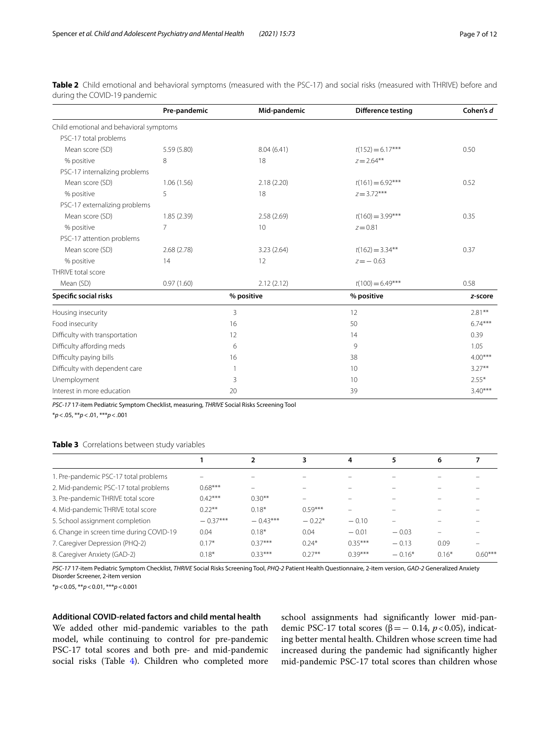|                                         | Pre-pandemic | Mid-pandemic                     | <b>Difference testing</b> | Cohen's d |
|-----------------------------------------|--------------|----------------------------------|---------------------------|-----------|
| Child emotional and behavioral symptoms |              |                                  |                           |           |
| PSC-17 total problems                   |              |                                  |                           |           |
| Mean score (SD)                         | 5.59 (5.80)  | 8.04(6.41)                       | $t(152) = 6.17***$        | 0.50      |
| % positive                              | 8            | 18                               | $z = 2.64***$             |           |
| PSC-17 internalizing problems           |              |                                  |                           |           |
| Mean score (SD)                         | 1.06(1.56)   | 2.18(2.20)                       | $t(161) = 6.92***$        | 0.52      |
| % positive                              | 5            | 18                               | $z = 3.72***$             |           |
| PSC-17 externalizing problems           |              |                                  |                           |           |
| Mean score (SD)                         | 1.85(2.39)   | 2.58(2.69)                       | $t(160) = 3.99***$        | 0.35      |
| % positive                              | 7            | 10                               | $z = 0.81$                |           |
| PSC-17 attention problems               |              |                                  |                           |           |
| Mean score (SD)                         | 2.68(2.78)   | $t(162) = 3.34***$<br>3.23(2.64) |                           | 0.37      |
| % positive                              | 14           | 12                               | $z = -0.63$               |           |
| THRIVE total score                      |              |                                  |                           |           |
| Mean (SD)                               | 0.97(1.60)   | 2.12(2.12)                       | $t(100) = 6.49***$        | 0.58      |
| Specific social risks                   |              | % positive<br>% positive         |                           | z-score   |
| Housing insecurity                      |              | 3                                | 12                        | $2.81***$ |
| Food insecurity                         |              | 16                               | 50                        | $6.74***$ |
| Difficulty with transportation          |              | 12                               | 14                        | 0.39      |
| Difficulty affording meds               |              | 6                                | 9                         | 1.05      |
| Difficulty paying bills                 |              | 16                               | 38                        | $4.00***$ |
| Difficulty with dependent care          |              | $\mathbf{1}$                     | 10                        | $3.27***$ |
| Unemployment                            |              | 3                                | 10                        | $2.55*$   |
| Interest in more education              |              | 20                               | 39                        | $3.40***$ |

<span id="page-7-0"></span>**Table 2** Child emotional and behavioral symptoms (measured with the PSC-17) and social risks (measured with THRIVE) before and during the COVID-19 pandemic

*PSC-17* 17-item Pediatric Symptom Checklist, measuring, *THRIVE* Social Risks Screening Tool

\**p*<.05, \*\**p*<.01, \*\*\**p*<.001

#### <span id="page-7-1"></span>**Table 3** Correlations between study variables

|                                          |            |            | 3                        | 4                        |          | 6                        |           |
|------------------------------------------|------------|------------|--------------------------|--------------------------|----------|--------------------------|-----------|
| 1. Pre-pandemic PSC-17 total problems    |            |            |                          |                          |          |                          |           |
| 2. Mid-pandemic PSC-17 total problems    | $0.68***$  |            |                          |                          |          |                          |           |
| 3. Pre-pandemic THRIVE total score       | $0.42***$  | $0.30**$   | $\overline{\phantom{0}}$ |                          |          |                          |           |
| 4. Mid-pandemic THRIVE total score       | $0.22***$  | $0.18*$    | $0.59***$                | $\overline{\phantom{0}}$ |          |                          |           |
| 5. School assignment completion          | $-0.37***$ | $-0.43***$ | $-0.22*$                 | $-0.10$                  |          |                          |           |
| 6. Change in screen time during COVID-19 | 0.04       | $0.18*$    | 0.04                     | $-0.01$                  | $-0.03$  | $\overline{\phantom{0}}$ |           |
| 7. Caregiver Depression (PHQ-2)          | $0.17*$    | $0.37***$  | $0.24*$                  | $0.35***$                | $-0.13$  | 0.09                     |           |
| 8. Caregiver Anxiety (GAD-2)             | $0.18*$    | $0.33***$  | $0.27***$                | $0.39***$                | $-0.16*$ | $0.16*$                  | $0.60***$ |

*PSC-17* 17-item Pediatric Symptom Checklist, *THRIVE* Social Risks Screening Tool, *PHQ-2* Patient Health Questionnaire, 2-item version, *GAD-2* Generalized Anxiety Disorder Screener, 2-item version

\**p*<0.05, \*\**p*<0.01, \*\*\**p*<0.001

#### **Additional COVID‑related factors and child mental health**

We added other mid-pandemic variables to the path model, while continuing to control for pre-pandemic PSC-17 total scores and both pre- and mid-pandemic social risks (Table [4\)](#page-8-0). Children who completed more

school assignments had signifcantly lower mid-pandemic PSC-17 total scores (β=− 0.14, *p*<0.05), indicating better mental health. Children whose screen time had increased during the pandemic had signifcantly higher mid-pandemic PSC-17 total scores than children whose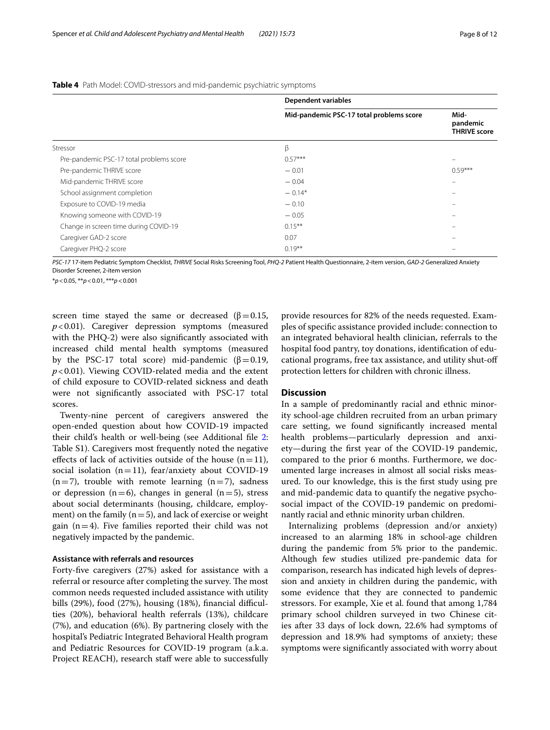|                                          | <b>Dependent variables</b>               |                                         |  |
|------------------------------------------|------------------------------------------|-----------------------------------------|--|
|                                          | Mid-pandemic PSC-17 total problems score | Mid-<br>pandemic<br><b>THRIVE score</b> |  |
| Stressor                                 | β                                        |                                         |  |
| Pre-pandemic PSC-17 total problems score | $0.57***$                                |                                         |  |
| Pre-pandemic THRIVE score                | $-0.01$                                  | $0.59***$                               |  |
| Mid-pandemic THRIVE score                | $-0.04$                                  | -                                       |  |
| School assignment completion             | $-0.14*$                                 |                                         |  |
| Exposure to COVID-19 media               | $-0.10$                                  |                                         |  |
| Knowing someone with COVID-19            | $-0.05$                                  | -                                       |  |
| Change in screen time during COVID-19    | $0.15***$                                |                                         |  |
| Caregiver GAD-2 score                    | 0.07                                     |                                         |  |
| Caregiver PHQ-2 score                    | $0.19***$                                |                                         |  |

<span id="page-8-0"></span>**Table 4** Path Model: COVID-stressors and mid-pandemic psychiatric symptoms

*PSC-17* 17-item Pediatric Symptom Checklist, *THRIVE* Social Risks Screening Tool, *PHQ-2* Patient Health Questionnaire, 2-item version, *GAD-2* Generalized Anxiety Disorder Screener, 2-item version

\**p*<0.05, \*\**p*<0.01, \*\*\**p*<0.001

screen time stayed the same or decreased ( $\beta$  = 0.15, *p*<0.01). Caregiver depression symptoms (measured with the PHQ-2) were also signifcantly associated with increased child mental health symptoms (measured by the PSC-17 total score) mid-pandemic  $(\beta = 0.19,$ *p*<0.01). Viewing COVID-related media and the extent of child exposure to COVID-related sickness and death were not signifcantly associated with PSC-17 total scores.

Twenty-nine percent of caregivers answered the open-ended question about how COVID-19 impacted their child's health or well-being (see Additional fle [2](#page-10-3): Table S1). Caregivers most frequently noted the negative effects of lack of activities outside of the house  $(n=11)$ , social isolation  $(n=11)$ , fear/anxiety about COVID-19  $(n=7)$ , trouble with remote learning  $(n=7)$ , sadness or depression (n=6), changes in general (n=5), stress about social determinants (housing, childcare, employment) on the family  $(n=5)$ , and lack of exercise or weight gain  $(n=4)$ . Five families reported their child was not negatively impacted by the pandemic.

#### **Assistance with referrals and resources**

Forty-fve caregivers (27%) asked for assistance with a referral or resource after completing the survey. The most common needs requested included assistance with utility bills  $(29%)$ , food  $(27%)$ , housing  $(18%)$ , financial difficulties (20%), behavioral health referrals (13%), childcare (7%), and education (6%). By partnering closely with the hospital's Pediatric Integrated Behavioral Health program and Pediatric Resources for COVID-19 program (a.k.a. Project REACH), research staff were able to successfully

provide resources for 82% of the needs requested. Examples of specifc assistance provided include: connection to an integrated behavioral health clinician, referrals to the hospital food pantry, toy donations, identifcation of educational programs, free tax assistance, and utility shut-of protection letters for children with chronic illness.

#### **Discussion**

In a sample of predominantly racial and ethnic minority school-age children recruited from an urban primary care setting, we found signifcantly increased mental health problems—particularly depression and anxiety—during the frst year of the COVID-19 pandemic, compared to the prior 6 months. Furthermore, we documented large increases in almost all social risks measured. To our knowledge, this is the frst study using pre and mid-pandemic data to quantify the negative psychosocial impact of the COVID-19 pandemic on predominantly racial and ethnic minority urban children.

Internalizing problems (depression and/or anxiety) increased to an alarming 18% in school-age children during the pandemic from 5% prior to the pandemic. Although few studies utilized pre-pandemic data for comparison, research has indicated high levels of depression and anxiety in children during the pandemic, with some evidence that they are connected to pandemic stressors. For example, Xie et al. found that among 1,784 primary school children surveyed in two Chinese cities after 33 days of lock down, 22.6% had symptoms of depression and 18.9% had symptoms of anxiety; these symptoms were signifcantly associated with worry about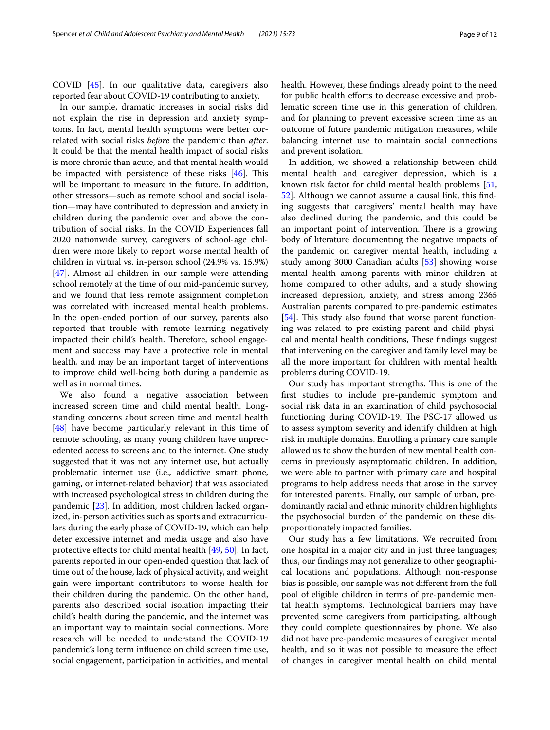COVID [[45](#page-11-37)]. In our qualitative data, caregivers also reported fear about COVID-19 contributing to anxiety.

In our sample, dramatic increases in social risks did not explain the rise in depression and anxiety symptoms. In fact, mental health symptoms were better correlated with social risks *before* the pandemic than *after*. It could be that the mental health impact of social risks is more chronic than acute, and that mental health would be impacted with persistence of these risks  $[46]$  $[46]$ . This will be important to measure in the future. In addition, other stressors—such as remote school and social isolation—may have contributed to depression and anxiety in children during the pandemic over and above the contribution of social risks. In the COVID Experiences fall 2020 nationwide survey, caregivers of school-age children were more likely to report worse mental health of children in virtual vs. in-person school (24.9% vs. 15.9%) [[47\]](#page-11-39). Almost all children in our sample were attending school remotely at the time of our mid-pandemic survey, and we found that less remote assignment completion was correlated with increased mental health problems. In the open-ended portion of our survey, parents also reported that trouble with remote learning negatively impacted their child's health. Therefore, school engagement and success may have a protective role in mental health, and may be an important target of interventions to improve child well-being both during a pandemic as well as in normal times.

We also found a negative association between increased screen time and child mental health. Longstanding concerns about screen time and mental health [[48\]](#page-12-0) have become particularly relevant in this time of remote schooling, as many young children have unprecedented access to screens and to the internet. One study suggested that it was not any internet use, but actually problematic internet use (i.e., addictive smart phone, gaming, or internet-related behavior) that was associated with increased psychological stress in children during the pandemic [\[23](#page-11-40)]. In addition, most children lacked organized, in-person activities such as sports and extracurriculars during the early phase of COVID-19, which can help deter excessive internet and media usage and also have protective efects for child mental health [\[49,](#page-12-1) [50\]](#page-12-2). In fact, parents reported in our open-ended question that lack of time out of the house, lack of physical activity, and weight gain were important contributors to worse health for their children during the pandemic. On the other hand, parents also described social isolation impacting their child's health during the pandemic, and the internet was an important way to maintain social connections. More research will be needed to understand the COVID-19 pandemic's long term infuence on child screen time use, social engagement, participation in activities, and mental health. However, these fndings already point to the need for public health efforts to decrease excessive and problematic screen time use in this generation of children, and for planning to prevent excessive screen time as an outcome of future pandemic mitigation measures, while balancing internet use to maintain social connections and prevent isolation.

In addition, we showed a relationship between child mental health and caregiver depression, which is a known risk factor for child mental health problems [[51](#page-12-3), [52\]](#page-12-4). Although we cannot assume a causal link, this fnding suggests that caregivers' mental health may have also declined during the pandemic, and this could be an important point of intervention. There is a growing body of literature documenting the negative impacts of the pandemic on caregiver mental health, including a study among 3000 Canadian adults [[53\]](#page-12-5) showing worse mental health among parents with minor children at home compared to other adults, and a study showing increased depression, anxiety, and stress among 2365 Australian parents compared to pre-pandemic estimates [[54\]](#page-12-6). This study also found that worse parent functioning was related to pre-existing parent and child physical and mental health conditions, These findings suggest that intervening on the caregiver and family level may be all the more important for children with mental health problems during COVID-19.

Our study has important strengths. This is one of the frst studies to include pre-pandemic symptom and social risk data in an examination of child psychosocial functioning during COVID-19. The PSC-17 allowed us to assess symptom severity and identify children at high risk in multiple domains. Enrolling a primary care sample allowed us to show the burden of new mental health concerns in previously asymptomatic children. In addition, we were able to partner with primary care and hospital programs to help address needs that arose in the survey for interested parents. Finally, our sample of urban, predominantly racial and ethnic minority children highlights the psychosocial burden of the pandemic on these disproportionately impacted families.

Our study has a few limitations. We recruited from one hospital in a major city and in just three languages; thus, our fndings may not generalize to other geographical locations and populations. Although non-response bias is possible, our sample was not diferent from the full pool of eligible children in terms of pre-pandemic mental health symptoms. Technological barriers may have prevented some caregivers from participating, although they could complete questionnaires by phone. We also did not have pre-pandemic measures of caregiver mental health, and so it was not possible to measure the efect of changes in caregiver mental health on child mental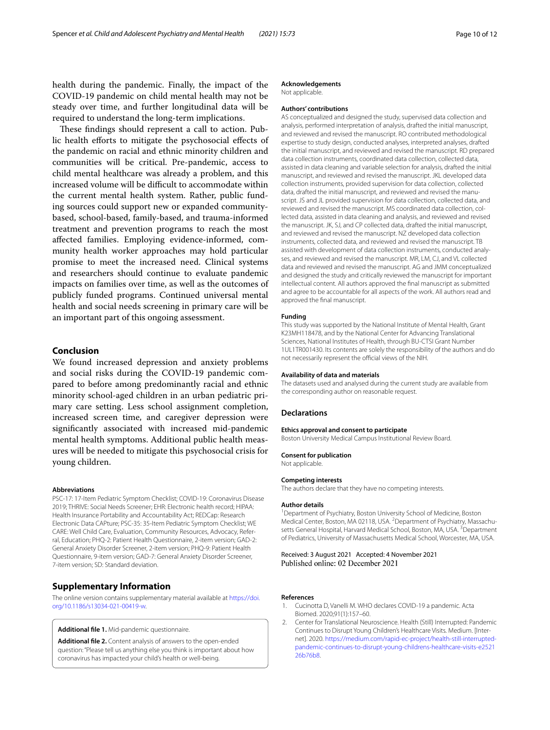health during the pandemic. Finally, the impact of the COVID-19 pandemic on child mental health may not be steady over time, and further longitudinal data will be required to understand the long-term implications.

These findings should represent a call to action. Public health efforts to mitigate the psychosocial effects of the pandemic on racial and ethnic minority children and communities will be critical. Pre-pandemic, access to child mental healthcare was already a problem, and this increased volume will be difficult to accommodate within the current mental health system. Rather, public funding sources could support new or expanded communitybased, school-based, family-based, and trauma-informed treatment and prevention programs to reach the most afected families. Employing evidence-informed, community health worker approaches may hold particular promise to meet the increased need. Clinical systems and researchers should continue to evaluate pandemic impacts on families over time, as well as the outcomes of publicly funded programs. Continued universal mental health and social needs screening in primary care will be an important part of this ongoing assessment.

#### **Conclusion**

We found increased depression and anxiety problems and social risks during the COVID-19 pandemic compared to before among predominantly racial and ethnic minority school-aged children in an urban pediatric primary care setting. Less school assignment completion, increased screen time, and caregiver depression were signifcantly associated with increased mid-pandemic mental health symptoms. Additional public health measures will be needed to mitigate this psychosocial crisis for young children.

#### **Abbreviations**

PSC-17: 17-Item Pediatric Symptom Checklist; COVID-19: Coronavirus Disease 2019; THRIVE: Social Needs Screener; EHR: Electronic health record; HIPAA: Health Insurance Portability and Accountability Act; REDCap: Research Electronic Data CAPture; PSC-35: 35-Item Pediatric Symptom Checklist; WE CARE: Well Child Care, Evaluation, Community Resources, Advocacy, Referral, Education; PHQ-2: Patient Health Questionnaire, 2-item version; GAD-2: General Anxiety Disorder Screener, 2-item version; PHQ-9: Patient Health Questionnaire, 9-item version; GAD-7: General Anxiety Disorder Screener, 7-item version; SD: Standard deviation.

#### **Supplementary Information**

The online version contains supplementary material available at [https://doi.](https://doi.org/10.1186/s13034-021-00419-w) [org/10.1186/s13034-021-00419-w.](https://doi.org/10.1186/s13034-021-00419-w)

<span id="page-10-3"></span><span id="page-10-2"></span>**Additional fle 1.** Mid-pandemic questionnaire.

**Additional fle 2.** Content analysis of answers to the open-ended question: "Please tell us anything else you think is important about how coronavirus has impacted your child's health or well-being.

#### **Acknowledgements**

Not applicable.

#### **Authors' contributions**

AS conceptualized and designed the study, supervised data collection and analysis, performed interpretation of analysis, drafted the initial manuscript, and reviewed and revised the manuscript. RO contributed methodological expertise to study design, conducted analyses, interpreted analyses, drafted the initial manuscript, and reviewed and revised the manuscript. RD prepared data collection instruments, coordinated data collection, collected data, assisted in data cleaning and variable selection for analysis, drafted the initial manuscript, and reviewed and revised the manuscript. JKL developed data collection instruments, provided supervision for data collection, collected data, drafted the initial manuscript, and reviewed and revised the manuscript. JS and JL provided supervision for data collection, collected data, and reviewed and revised the manuscript. MS coordinated data collection, collected data, assisted in data cleaning and analysis, and reviewed and revised the manuscript. JK, SJ, and CP collected data, drafted the initial manuscript, and reviewed and revised the manuscript. NZ developed data collection instruments, collected data, and reviewed and revised the manuscript. TB assisted with development of data collection instruments, conducted analyses, and reviewed and revised the manuscript. MR, LM, CJ, and VL collected data and reviewed and revised the manuscript. AG and JMM conceptualized and designed the study and critically reviewed the manuscript for important intellectual content. All authors approved the fnal manuscript as submitted and agree to be accountable for all aspects of the work. All authors read and approved the fnal manuscript.

#### **Funding**

This study was supported by the National Institute of Mental Health, Grant K23MH118478, and by the National Center for Advancing Translational Sciences, National Institutes of Health, through BU-CTSI Grant Number 1UL1TR001430. Its contents are solely the responsibility of the authors and do not necessarily represent the official views of the NIH.

#### **Availability of data and materials**

The datasets used and analysed during the current study are available from the corresponding author on reasonable request.

#### **Declarations**

#### **Ethics approval and consent to participate**

Boston University Medical Campus Institutional Review Board.

#### **Consent for publication**

Not applicable.

#### **Competing interests**

The authors declare that they have no competing interests.

#### **Author details**

<sup>1</sup> Department of Psychiatry, Boston University School of Medicine, Boston Medical Center, Boston, MA 02118, USA. <sup>2</sup> Department of Psychiatry, Massachusetts General Hospital, Harvard Medical School, Boston, MA, USA.<sup>3</sup> Department of Pediatrics, University of Massachusetts Medical School, Worcester, MA, USA.

Received: 3 August 2021 Accepted: 4 November 2021 Published online: 02 December 2021

#### **References**

- <span id="page-10-0"></span>1. Cucinotta D, Vanelli M. WHO declares COVID-19 a pandemic. Acta Biomed. 2020;91(1):157–60.
- <span id="page-10-1"></span>2. Center for Translational Neuroscience. Health (Still) Interrupted: Pandemic Continues to Disrupt Young Children's Healthcare Visits. Medium. [Internet]. 2020. [https://medium.com/rapid-ec-project/health-still-interrupted](https://medium.com/rapid-ec-project/health-still-interrupted-pandemic-continues-to-disrupt-young-childrens-healthcare-visits-e252126b76b8)[pandemic-continues-to-disrupt-young-childrens-healthcare-visits-e2521](https://medium.com/rapid-ec-project/health-still-interrupted-pandemic-continues-to-disrupt-young-childrens-healthcare-visits-e252126b76b8) [26b76b8](https://medium.com/rapid-ec-project/health-still-interrupted-pandemic-continues-to-disrupt-young-childrens-healthcare-visits-e252126b76b8).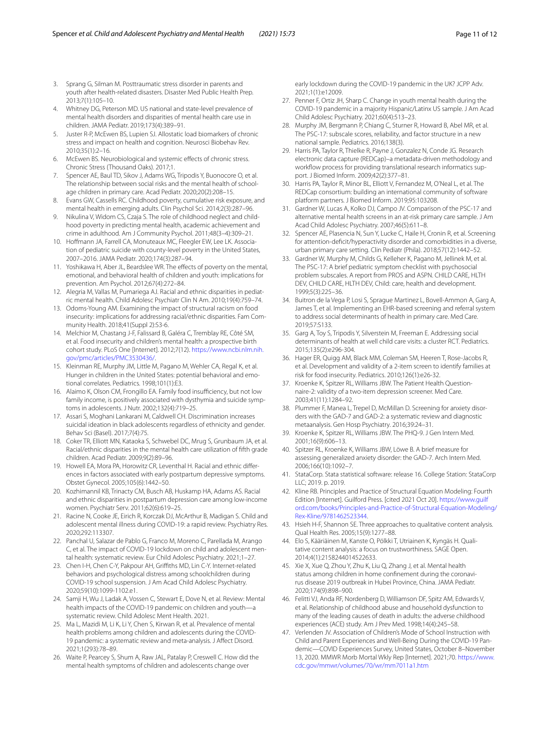- <span id="page-11-0"></span>3. Sprang G, Silman M. Posttraumatic stress disorder in parents and youth after health-related disasters. Disaster Med Public Health Prep. 2013;7(1):105–10.
- <span id="page-11-1"></span>4. Whitney DG, Peterson MD. US national and state-level prevalence of mental health disorders and disparities of mental health care use in children. JAMA Pediatr. 2019;173(4):389–91.
- <span id="page-11-2"></span>5. Juster R-P, McEwen BS, Lupien SJ. Allostatic load biomarkers of chronic stress and impact on health and cognition. Neurosci Biobehav Rev. 2010;35(1):2–16.
- <span id="page-11-3"></span>6. McEwen BS. Neurobiological and systemic efects of chronic stress. Chronic Stress (Thousand Oaks). 2017;1.
- <span id="page-11-4"></span>7. Spencer AE, Baul TD, Sikov J, Adams WG, Tripodis Y, Buonocore O, et al. The relationship between social risks and the mental health of schoolage children in primary care. Acad Pediatr. 2020;20(2):208–15.
- 8. Evans GW, Cassells RC. Childhood poverty, cumulative risk exposure, and mental health in emerging adults. Clin Psychol Sci. 2014;2(3):287–96.
- 9. Nikulina V, Widom CS, Czaja S. The role of childhood neglect and childhood poverty in predicting mental health, academic achievement and crime in adulthood. Am J Community Psychol. 2011;48(3–4):309–21.
- 10. Hofmann JA, Farrell CA, Monuteaux MC, Fleegler EW, Lee LK. Association of pediatric suicide with county-level poverty in the United States, 2007–2016. JAMA Pediatr. 2020;174(3):287–94.
- <span id="page-11-5"></span>11. Yoshikawa H, Aber JL, Beardslee WR. The effects of poverty on the mental, emotional, and behavioral health of children and youth: implications for prevention. Am Psychol. 2012;67(4):272–84.
- <span id="page-11-6"></span>12. Alegria M, Vallas M, Pumariega AJ. Racial and ethnic disparities in pediatric mental health. Child Adolesc Psychiatr Clin N Am. 2010;19(4):759–74.
- <span id="page-11-7"></span>13. Odoms-Young AM. Examining the impact of structural racism on food insecurity: implications for addressing racial/ethnic disparities. Fam Community Health. 2018;41(Suppl 2):S3-6.
- <span id="page-11-8"></span>14. Melchior M, Chastang J-F, Falissard B, Galéra C, Tremblay RE, Côté SM, et al. Food insecurity and children's mental health: a prospective birth cohort study. PLoS One [Internet]. 2012;7(12). [https://www.ncbi.nlm.nih.](https://www.ncbi.nlm.nih.gov/pmc/articles/PMC3530436/) [gov/pmc/articles/PMC3530436/.](https://www.ncbi.nlm.nih.gov/pmc/articles/PMC3530436/)
- <span id="page-11-9"></span>15. Kleinman RE, Murphy JM, Little M, Pagano M, Wehler CA, Regal K, et al. Hunger in children in the United States: potential behavioral and emotional correlates. Pediatrics. 1998;101(1):E3.
- <span id="page-11-10"></span>16. Alaimo K, Olson CM, Frongillo EA. Family food insufficiency, but not low family income, is positively associated with dysthymia and suicide symptoms in adolescents. J Nutr. 2002;132(4):719–25.
- <span id="page-11-11"></span>17. Assari S, Moghani Lankarani M, Caldwell CH. Discrimination increases suicidal ideation in black adolescents regardless of ethnicity and gender. Behav Sci (Basel). 2017;7(4):75.
- <span id="page-11-12"></span>18. Coker TR, Elliott MN, Kataoka S, Schwebel DC, Mrug S, Grunbaum JA, et al. Racial/ethnic disparities in the mental health care utilization of ffth grade children. Acad Pediatr. 2009;9(2):89–96.
- <span id="page-11-13"></span>19. Howell EA, Mora PA, Horowitz CR, Leventhal H. Racial and ethnic diferences in factors associated with early postpartum depressive symptoms. Obstet Gynecol. 2005;105(6):1442–50.
- <span id="page-11-14"></span>20. Kozhimannil KB, Trinacty CM, Busch AB, Huskamp HA, Adams AS. Racial and ethnic disparities in postpartum depression care among low-income women. Psychiatr Serv. 2011;62(6):619–25.
- <span id="page-11-15"></span>21. Racine N, Cooke JE, Eirich R, Korczak DJ, McArthur B, Madigan S. Child and adolescent mental illness during COVID-19: a rapid review. Psychiatry Res. 2020;292:113307.
- <span id="page-11-17"></span>22. Panchal U, Salazar de Pablo G, Franco M, Moreno C, Parellada M, Arango C, et al. The impact of COVID-19 lockdown on child and adolescent mental health: systematic review. Eur Child Adolesc Psychiatry. 2021;1–27.
- <span id="page-11-40"></span>23. Chen I-H, Chen C-Y, Pakpour AH, Grifths MD, Lin C-Y. Internet-related behaviors and psychological distress among schoolchildren during COVID-19 school suspension. J Am Acad Child Adolesc Psychiatry. 2020;59(10):1099-1102.e1.
- 24. Samji H, Wu J, Ladak A, Vossen C, Stewart E, Dove N, et al. Review: Mental health impacts of the COVID-19 pandemic on children and youth—a systematic review. Child Adolesc Ment Health. 2021.
- <span id="page-11-16"></span>25. Ma L, Mazidi M, Li K, Li Y, Chen S, Kirwan R, et al. Prevalence of mental health problems among children and adolescents during the COVID-19 pandemic: a systematic review and meta-analysis. J Afect Disord. 2021;1(293):78–89.
- <span id="page-11-18"></span>26. Waite P, Pearcey S, Shum A, Raw JAL, Patalay P, Creswell C. How did the mental health symptoms of children and adolescents change over

early lockdown during the COVID-19 pandemic in the UK? JCPP Adv. 2021;1(1):e12009.

- <span id="page-11-19"></span>27. Penner F, Ortiz JH, Sharp C. Change in youth mental health during the COVID-19 pandemic in a majority Hispanic/Latinx US sample. J Am Acad Child Adolesc Psychiatry. 2021;60(4):513–23.
- <span id="page-11-20"></span>28. Murphy JM, Bergmann P, Chiang C, Sturner R, Howard B, Abel MR, et al. The PSC-17: subscale scores, reliability, and factor structure in a new national sample. Pediatrics. 2016;138(3).
- <span id="page-11-21"></span>29. Harris PA, Taylor R, Thielke R, Payne J, Gonzalez N, Conde JG. Research electronic data capture (REDCap)–a metadata-driven methodology and workflow process for providing translational research informatics support. J Biomed Inform. 2009;42(2):377–81.
- <span id="page-11-22"></span>30. Harris PA, Taylor R, Minor BL, Elliott V, Fernandez M, O'Neal L, et al. The REDCap consortium: building an international community of software platform partners. J Biomed Inform. 2019;95:103208.
- <span id="page-11-23"></span>31. Gardner W, Lucas A, Kolko DJ, Campo JV. Comparison of the PSC-17 and alternative mental health screens in an at-risk primary care sample. J Am Acad Child Adolesc Psychiatry. 2007;46(5):611–8.
- <span id="page-11-24"></span>32. Spencer AE, Plasencia N, Sun Y, Lucke C, Haile H, Cronin R, et al. Screening for attention-deficit/hyperactivity disorder and comorbidities in a diverse, urban primary care setting. Clin Pediatr (Phila). 2018;57(12):1442–52.
- <span id="page-11-25"></span>33. Gardner W, Murphy M, Childs G, Kelleher K, Pagano M, Jellinek M, et al. The PSC-17: A brief pediatric symptom checklist with psychosocial problem subscales. A report from PROS and ASPN. CHILD CARE, HLTH DEV, CHILD CARE, HLTH DEV, Child: care, health and development. 1999;5(3):225–36.
- <span id="page-11-26"></span>34. Buitron de la Vega P, Losi S, Sprague Martinez L, Bovell-Ammon A, Garg A, James T, et al. Implementing an EHR-based screening and referral system to address social determinants of health in primary care. Med Care. 2019;57:S133.
- <span id="page-11-27"></span>35. Garg A, Toy S, Tripodis Y, Silverstein M, Freeman E. Addressing social determinants of health at well child care visits: a cluster RCT. Pediatrics. 2015;135(2):e296-304.
- <span id="page-11-28"></span>36. Hager ER, Quigg AM, Black MM, Coleman SM, Heeren T, Rose-Jacobs R, et al. Development and validity of a 2-item screen to identify families at risk for food insecurity. Pediatrics. 2010;126(1):e26-32.
- <span id="page-11-29"></span>37. Kroenke K, Spitzer RL, Williams JBW. The Patient Health Questionnaire-2: validity of a two-item depression screener. Med Care. 2003;41(11):1284–92.
- <span id="page-11-30"></span>38. Plummer F, Manea L, Trepel D, McMillan D. Screening for anxiety disorders with the GAD-7 and GAD-2: a systematic review and diagnostic metaanalysis. Gen Hosp Psychiatry. 2016;39:24–31.
- <span id="page-11-31"></span>39. Kroenke K, Spitzer RL, Williams JBW. The PHQ-9. J Gen Intern Med. 2001;16(9):606–13.
- <span id="page-11-32"></span>40. Spitzer RL, Kroenke K, Williams JBW, Löwe B. A brief measure for assessing generalized anxiety disorder: the GAD-7. Arch Intern Med. 2006;166(10):1092–7.
- <span id="page-11-33"></span>41. StataCorp. Stata statistical software: release 16. College Station: StataCorp LLC; 2019. p. 2019.
- <span id="page-11-34"></span>42. Kline RB. Principles and Practice of Structural Equation Modeling: Fourth Edition [Internet]. Guilford Press. [cited 2021 Oct 20]. [https://www.guilf](https://www.guilford.com/books/Principles-and-Practice-of-Structural-Equation-Modeling/Rex-Kline/9781462523344) [ord.com/books/Principles-and-Practice-of-Structural-Equation-Modeling/](https://www.guilford.com/books/Principles-and-Practice-of-Structural-Equation-Modeling/Rex-Kline/9781462523344) [Rex-Kline/9781462523344](https://www.guilford.com/books/Principles-and-Practice-of-Structural-Equation-Modeling/Rex-Kline/9781462523344).
- <span id="page-11-35"></span>43. Hsieh H-F, Shannon SE. Three approaches to qualitative content analysis. Qual Health Res. 2005;15(9):1277–88.
- <span id="page-11-36"></span>44. Elo S, Kääriäinen M, Kanste O, Pölkki T, Utriainen K, Kyngäs H. Qualitative content analysis: a focus on trustworthiness. SAGE Open. 2014;4(1):2158244014522633.
- <span id="page-11-37"></span>45. Xie X, Xue Q, Zhou Y, Zhu K, Liu Q, Zhang J, et al. Mental health status among children in home confnement during the coronavirus disease 2019 outbreak in Hubei Province, China. JAMA Pediatr. 2020;174(9):898–900.
- <span id="page-11-38"></span>46. Felitti VJ, Anda RF, Nordenberg D, Williamson DF, Spitz AM, Edwards V, et al. Relationship of childhood abuse and household dysfunction to many of the leading causes of death in adults: the adverse childhood experiences (ACE) study. Am J Prev Med. 1998;14(4):245–58.
- <span id="page-11-39"></span>47. Verlenden JV. Association of Children's Mode of School Instruction with Child and Parent Experiences and Well-Being During the COVID-19 Pandemic—COVID Experiences Survey, United States, October 8–November 13, 2020. MMWR Morb Mortal Wkly Rep [Internet]. 2021;70. [https://www.](https://www.cdc.gov/mmwr/volumes/70/wr/mm7011a1.htm) [cdc.gov/mmwr/volumes/70/wr/mm7011a1.htm](https://www.cdc.gov/mmwr/volumes/70/wr/mm7011a1.htm)